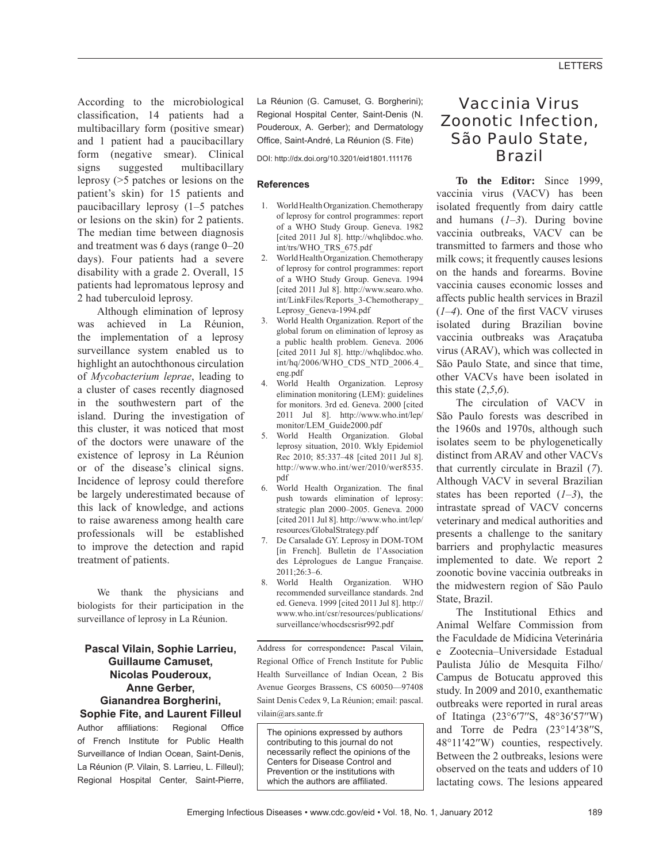According to the microbiological classification, 14 patients had a multibacillary form (positive smear) and 1 patient had a paucibacillary form (negative smear). Clinical signs suggested multibacillary leprosy (>5 patches or lesions on the patient's skin) for 15 patients and paucibacillary leprosy (1–5 patches or lesions on the skin) for 2 patients. The median time between diagnosis and treatment was 6 days (range 0–20 days). Four patients had a severe disability with a grade 2. Overall, 15 patients had lepromatous leprosy and 2 had tuberculoid leprosy.

Although elimination of leprosy was achieved in La Réunion, the implementation of a leprosy surveillance system enabled us to highlight an autochthonous circulation of *Mycobacterium leprae*, leading to a cluster of cases recently diagnosed in the southwestern part of the island. During the investigation of this cluster, it was noticed that most of the doctors were unaware of the existence of leprosy in La Réunion or of the disease's clinical signs. Incidence of leprosy could therefore be largely underestimated because of this lack of knowledge, and actions to raise awareness among health care professionals will be established to improve the detection and rapid treatment of patients.

We thank the physicians and biologists for their participation in the surveillance of leprosy in La Réunion.

#### **Pascal Vilain, Sophie Larrieu, Guillaume Camuset, Nicolas Pouderoux, Anne Gerber, Gianandrea Borgherini, Sophie Fite, and Laurent Filleul**

Author affiliations: Regional Office of French Institute for Public Health Surveillance of Indian Ocean, Saint-Denis, La Réunion (P. Vilain, S. Larrieu, L. Filleul); Regional Hospital Center, Saint-Pierre,

La Réunion (G. Camuset, G. Borgherini); Regional Hospital Center, Saint-Denis (N. Pouderoux, A. Gerber); and Dermatology Office, Saint-André, La Réunion (S. Fite)

DOI: http://dx.doi.org/10.3201/eid1801.111176

#### **References**

- 1. World Health Organization. Chemotherapy of leprosy for control programmes: report of a WHO Study Group. Geneva. 1982 [cited 2011 Jul 8]. http://whqlibdoc.who. int/trs/WHO\_TRS\_675.pdf
- 2. World Health Organization. Chemotherapy of leprosy for control programmes: report of a WHO Study Group. Geneva. 1994 [cited 2011 Jul 8]. http://www.searo.who. int/LinkFiles/Reports\_3-Chemotherapy\_ Leprosy\_Geneva-1994.pdf
- 3. World Health Organization. Report of the global forum on elimination of leprosy as a public health problem. Geneva. 2006 [cited 2011 Jul 8]. http://whqlibdoc.who. int/hq/2006/WHO\_CDS\_NTD\_2006.4\_ eng.pdf
- 4. World Health Organization. Leprosy elimination monitoring (LEM): guidelines for monitors. 3rd ed. Geneva. 2000 [cited 2011 Jul 8]. http://www.who.int/lep/ monitor/LEM\_Guide2000.pdf
- 5. World Health Organization. Global leprosy situation, 2010. Wkly Epidemiol Rec 2010; 85:337–48 [cited 2011 Jul 8]. http://www.who.int/wer/2010/wer8535. pdf
- 6. World Health Organization. The final push towards elimination of leprosy: strategic plan 2000–2005. Geneva. 2000 [cited 2011 Jul 8]. http://www.who.int/lep/ resources/GlobalStrategy.pdf
- 7. De Carsalade GY. Leprosy in DOM-TOM [in French]. Bulletin de l'Association des Léprologues de Langue Française. 2011;26:3–6.
- 8. World Health Organization. WHO recommended surveillance standards. 2nd ed. Geneva. 1999 [cited 2011 Jul 8]. http:// www.who.int/csr/resources/publications/ surveillance/whocdscsrisr992.pdf

Address for correspondence**:** Pascal Vilain, Regional Office of French Institute for Public Health Surveillance of Indian Ocean, 2 Bis Avenue Georges Brassens, CS 60050—97408 Saint Denis Cedex 9, La Réunion; email: pascal. vilain@ars.sante.fr

The opinions expressed by authors contributing to this journal do not necessarily reflect the opinions of the Centers for Disease Control and Prevention or the institutions with which the authors are affiliated.

# Vaccinia Virus Zoonotic Infection, São Paulo State, Brazil

**To the Editor:** Since 1999, vaccinia virus (VACV) has been isolated frequently from dairy cattle and humans (*1*–*3*). During bovine vaccinia outbreaks, VACV can be transmitted to farmers and those who milk cows; it frequently causes lesions on the hands and forearms. Bovine vaccinia causes economic losses and affects public health services in Brazil  $(1-4)$ . One of the first VACV viruses isolated during Brazilian bovine vaccinia outbreaks was Araçatuba virus (ARAV), which was collected in São Paulo State, and since that time, other VACVs have been isolated in this state (*2*,*5*,*6*).

The circulation of VACV in São Paulo forests was described in the 1960s and 1970s, although such isolates seem to be phylogenetically distinct from ARAV and other VACVs that currently circulate in Brazil (*7*). Although VACV in several Brazilian states has been reported (*1*–*3*), the intrastate spread of VACV concerns veterinary and medical authorities and presents a challenge to the sanitary barriers and prophylactic measures implemented to date. We report 2 zoonotic bovine vaccinia outbreaks in the midwestern region of São Paulo State, Brazil.

The Institutional Ethics and Animal Welfare Commission from the Faculdade de Midicina Veterinária e Zootecnia–Universidade Estadual Paulista Júlio de Mesquita Filho/ Campus de Botucatu approved this study. In 2009 and 2010, exanthematic outbreaks were reported in rural areas of Itatinga (23°6′7′′S, 48°36′57′′W) and Torre de Pedra (23°14′38′′S, 48°11′42′′W) counties, respectively. Between the 2 outbreaks, lesions were observed on the teats and udders of 10 lactating cows. The lesions appeared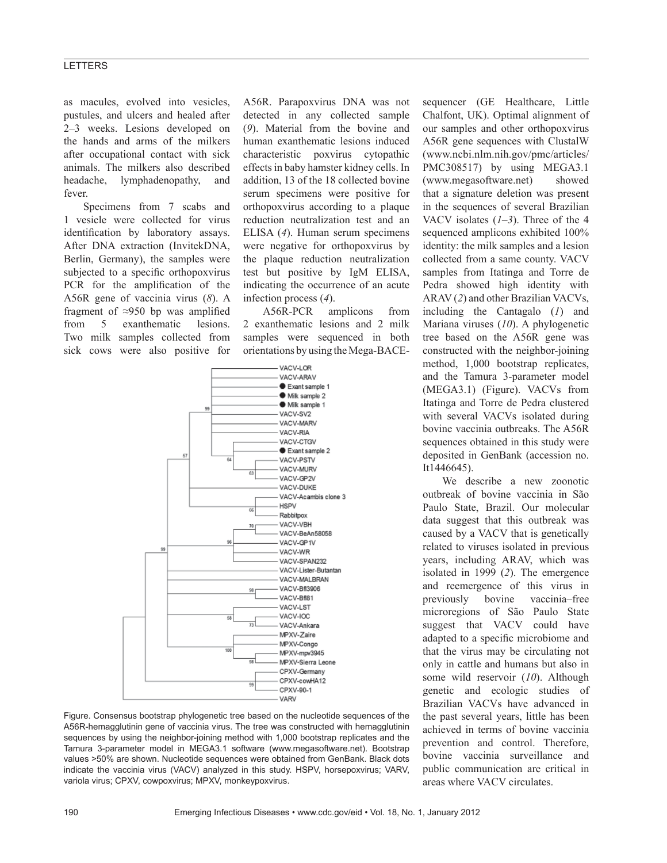## **LETTERS**

as macules, evolved into vesicles, pustules, and ulcers and healed after 2–3 weeks. Lesions developed on the hands and arms of the milkers after occupational contact with sick animals. The milkers also described headache, lymphadenopathy, and fever.

Specimens from 7 scabs and 1 vesicle were collected for virus identification by laboratory assays. After DNA extraction (InvitekDNA, Berlin, Germany), the samples were subjected to a specific orthopoxvirus PCR for the amplification of the A56R gene of vaccinia virus (*8*). A fragment of  $\approx$ 950 bp was amplified from 5 exanthematic lesions. Two milk samples collected from sick cows were also positive for A56R. Parapoxvirus DNA was not detected in any collected sample (*9*). Material from the bovine and human exanthematic lesions induced characteristic poxvirus cytopathic effects in baby hamster kidney cells. In addition, 13 of the 18 collected bovine serum specimens were positive for orthopoxvirus according to a plaque reduction neutralization test and an ELISA (*4*). Human serum specimens were negative for orthopoxvirus by the plaque reduction neutralization test but positive by IgM ELISA, indicating the occurrence of an acute infection process (*4*).

A56R-PCR amplicons from 2 exanthematic lesions and 2 milk samples were sequenced in both orientations by using the Mega-BACE-



Figure. Consensus bootstrap phylogenetic tree based on the nucleotide sequences of the A56R-hemagglutinin gene of vaccinia virus. The tree was constructed with hemagglutinin sequences by using the neighbor-joining method with 1,000 bootstrap replicates and the Tamura 3-parameter model in MEGA3.1 software (www.megasoftware.net). Bootstrap values >50% are shown. Nucleotide sequences were obtained from GenBank. Black dots indicate the vaccinia virus (VACV) analyzed in this study. HSPV, horsepoxvirus; VARV, variola virus; CPXV, cowpoxvirus; MPXV, monkeypoxvirus.

sequencer (GE Healthcare, Little Chalfont, UK). Optimal alignment of our samples and other orthopoxvirus A56R gene sequences with ClustalW (www.ncbi.nlm.nih.gov/pmc/articles/ PMC308517) by using MEGA3.1 (www.megasoftware.net) showed that a signature deletion was present in the sequences of several Brazilian VACV isolates (*1–3*). Three of the 4 sequenced amplicons exhibited 100% identity: the milk samples and a lesion collected from a same county. VACV samples from Itatinga and Torre de Pedra showed high identity with ARAV (*2*) and other Brazilian VACVs, including the Cantagalo (*1*) and Mariana viruses (*10*). A phylogenetic tree based on the A56R gene was constructed with the neighbor-joining method, 1,000 bootstrap replicates, and the Tamura 3-parameter model (MEGA3.1) (Figure). VACVs from Itatinga and Torre de Pedra clustered with several VACVs isolated during bovine vaccinia outbreaks. The A56R sequences obtained in this study were deposited in GenBank (accession no. It1446645).

We describe a new zoonotic outbreak of bovine vaccinia in São Paulo State, Brazil. Our molecular data suggest that this outbreak was caused by a VACV that is genetically related to viruses isolated in previous years, including ARAV, which was isolated in 1999 (*2*). The emergence and reemergence of this virus in previously bovine vaccinia–free microregions of São Paulo State suggest that VACV could have adapted to a specific microbiome and that the virus may be circulating not only in cattle and humans but also in some wild reservoir (*10*). Although genetic and ecologic studies of Brazilian VACVs have advanced in the past several years, little has been achieved in terms of bovine vaccinia prevention and control. Therefore, bovine vaccinia surveillance and public communication are critical in areas where VACV circulates.